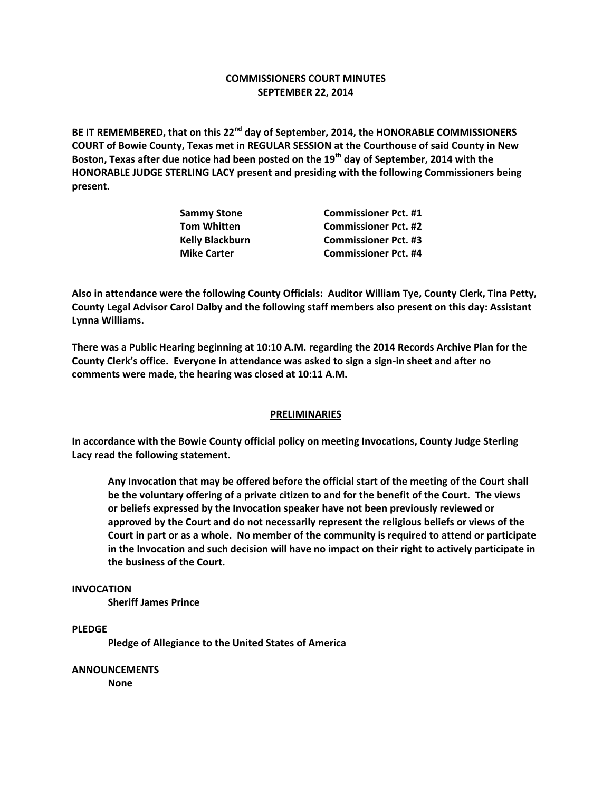### **COMMISSIONERS COURT MINUTES SEPTEMBER 22, 2014**

**BE IT REMEMBERED, that on this 22nd day of September, 2014, the HONORABLE COMMISSIONERS COURT of Bowie County, Texas met in REGULAR SESSION at the Courthouse of said County in New Boston, Texas after due notice had been posted on the 19th day of September, 2014 with the HONORABLE JUDGE STERLING LACY present and presiding with the following Commissioners being present.**

| <b>Sammy Stone</b> | <b>Commissioner Pct. #1</b> |
|--------------------|-----------------------------|
| Tom Whitten        | <b>Commissioner Pct. #2</b> |
| Kelly Blackburn    | <b>Commissioner Pct. #3</b> |
| <b>Mike Carter</b> | <b>Commissioner Pct. #4</b> |
|                    |                             |

**Also in attendance were the following County Officials: Auditor William Tye, County Clerk, Tina Petty, County Legal Advisor Carol Dalby and the following staff members also present on this day: Assistant Lynna Williams.**

**There was a Public Hearing beginning at 10:10 A.M. regarding the 2014 Records Archive Plan for the County Clerk's office. Everyone in attendance was asked to sign a sign-in sheet and after no comments were made, the hearing was closed at 10:11 A.M.**

#### **PRELIMINARIES**

**In accordance with the Bowie County official policy on meeting Invocations, County Judge Sterling Lacy read the following statement.**

**Any Invocation that may be offered before the official start of the meeting of the Court shall be the voluntary offering of a private citizen to and for the benefit of the Court. The views or beliefs expressed by the Invocation speaker have not been previously reviewed or approved by the Court and do not necessarily represent the religious beliefs or views of the Court in part or as a whole. No member of the community is required to attend or participate in the Invocation and such decision will have no impact on their right to actively participate in the business of the Court.**

#### **INVOCATION**

**Sheriff James Prince**

#### **PLEDGE**

**Pledge of Allegiance to the United States of America**

**ANNOUNCEMENTS None**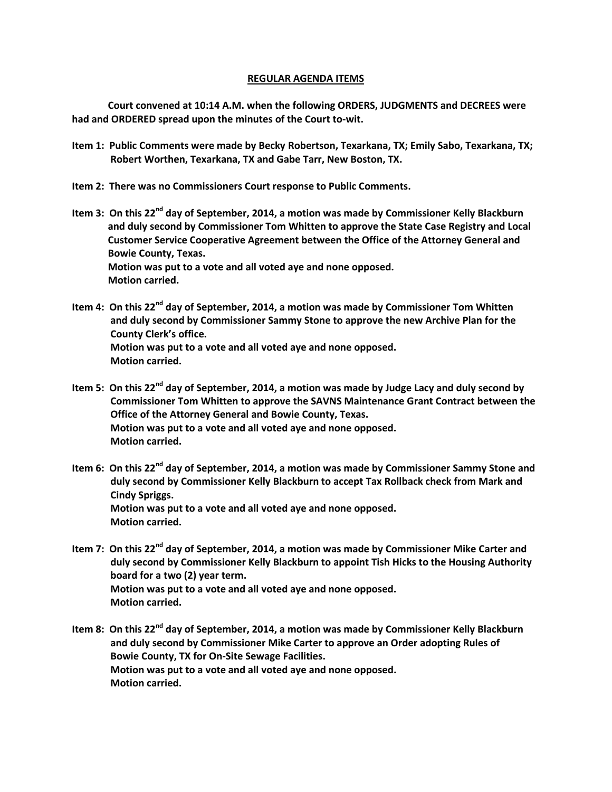#### **REGULAR AGENDA ITEMS**

**Court convened at 10:14 A.M. when the following ORDERS, JUDGMENTS and DECREES were had and ORDERED spread upon the minutes of the Court to-wit.**

- **Item 1: Public Comments were made by Becky Robertson, Texarkana, TX; Emily Sabo, Texarkana, TX; Robert Worthen, Texarkana, TX and Gabe Tarr, New Boston, TX.**
- **Item 2: There was no Commissioners Court response to Public Comments.**
- **Item 3: On this 22nd day of September, 2014, a motion was made by Commissioner Kelly Blackburn and duly second by Commissioner Tom Whitten to approve the State Case Registry and Local Customer Service Cooperative Agreement between the Office of the Attorney General and Bowie County, Texas. Motion was put to a vote and all voted aye and none opposed. Motion carried.**
- **Item 4: On this 22nd day of September, 2014, a motion was made by Commissioner Tom Whitten and duly second by Commissioner Sammy Stone to approve the new Archive Plan for the County Clerk's office. Motion was put to a vote and all voted aye and none opposed. Motion carried.**
- **Item 5: On this 22nd day of September, 2014, a motion was made by Judge Lacy and duly second by Commissioner Tom Whitten to approve the SAVNS Maintenance Grant Contract between the Office of the Attorney General and Bowie County, Texas. Motion was put to a vote and all voted aye and none opposed. Motion carried.**
- **Item 6: On this 22nd day of September, 2014, a motion was made by Commissioner Sammy Stone and duly second by Commissioner Kelly Blackburn to accept Tax Rollback check from Mark and Cindy Spriggs. Motion was put to a vote and all voted aye and none opposed. Motion carried.**
- **Item 7: On this 22nd day of September, 2014, a motion was made by Commissioner Mike Carter and duly second by Commissioner Kelly Blackburn to appoint Tish Hicks to the Housing Authority board for a two (2) year term. Motion was put to a vote and all voted aye and none opposed. Motion carried.**
- **Item 8: On this 22nd day of September, 2014, a motion was made by Commissioner Kelly Blackburn and duly second by Commissioner Mike Carter to approve an Order adopting Rules of Bowie County, TX for On-Site Sewage Facilities. Motion was put to a vote and all voted aye and none opposed. Motion carried.**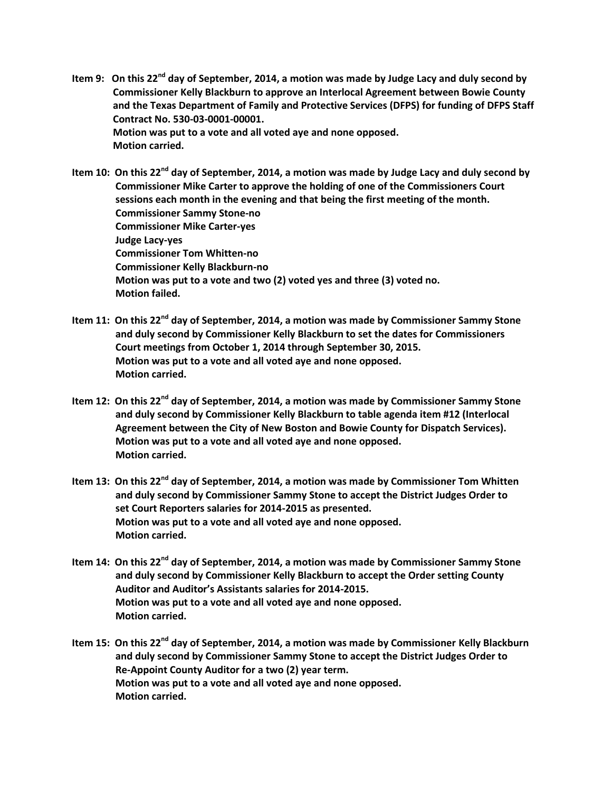**Item 9: On this 22nd day of September, 2014, a motion was made by Judge Lacy and duly second by Commissioner Kelly Blackburn to approve an Interlocal Agreement between Bowie County and the Texas Department of Family and Protective Services (DFPS) for funding of DFPS Staff Contract No. 530-03-0001-00001. Motion was put to a vote and all voted aye and none opposed. Motion carried.**

**Item 10: On this 22nd day of September, 2014, a motion was made by Judge Lacy and duly second by Commissioner Mike Carter to approve the holding of one of the Commissioners Court sessions each month in the evening and that being the first meeting of the month. Commissioner Sammy Stone-no Commissioner Mike Carter-yes Judge Lacy-yes Commissioner Tom Whitten-no Commissioner Kelly Blackburn-no Motion was put to a vote and two (2) voted yes and three (3) voted no. Motion failed.**

- **Item 11: On this 22nd day of September, 2014, a motion was made by Commissioner Sammy Stone and duly second by Commissioner Kelly Blackburn to set the dates for Commissioners Court meetings from October 1, 2014 through September 30, 2015. Motion was put to a vote and all voted aye and none opposed. Motion carried.**
- **Item 12: On this 22nd day of September, 2014, a motion was made by Commissioner Sammy Stone and duly second by Commissioner Kelly Blackburn to table agenda item #12 (Interlocal Agreement between the City of New Boston and Bowie County for Dispatch Services). Motion was put to a vote and all voted aye and none opposed. Motion carried.**
- **Item 13: On this 22nd day of September, 2014, a motion was made by Commissioner Tom Whitten and duly second by Commissioner Sammy Stone to accept the District Judges Order to set Court Reporters salaries for 2014-2015 as presented. Motion was put to a vote and all voted aye and none opposed. Motion carried.**
- **Item 14: On this 22nd day of September, 2014, a motion was made by Commissioner Sammy Stone and duly second by Commissioner Kelly Blackburn to accept the Order setting County Auditor and Auditor's Assistants salaries for 2014-2015. Motion was put to a vote and all voted aye and none opposed. Motion carried.**
- **Item 15: On this 22nd day of September, 2014, a motion was made by Commissioner Kelly Blackburn and duly second by Commissioner Sammy Stone to accept the District Judges Order to Re-Appoint County Auditor for a two (2) year term. Motion was put to a vote and all voted aye and none opposed. Motion carried.**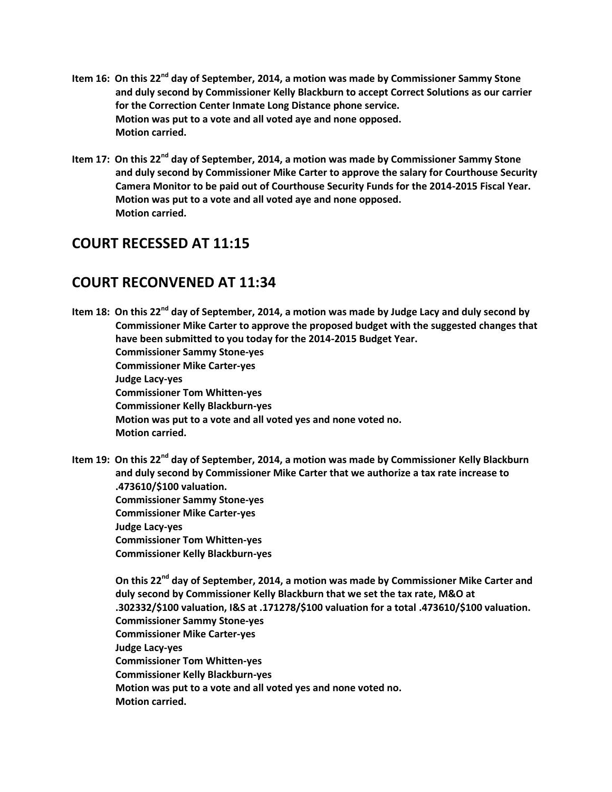- **Item 16: On this 22nd day of September, 2014, a motion was made by Commissioner Sammy Stone and duly second by Commissioner Kelly Blackburn to accept Correct Solutions as our carrier for the Correction Center Inmate Long Distance phone service. Motion was put to a vote and all voted aye and none opposed. Motion carried.**
- **Item 17: On this 22nd day of September, 2014, a motion was made by Commissioner Sammy Stone and duly second by Commissioner Mike Carter to approve the salary for Courthouse Security Camera Monitor to be paid out of Courthouse Security Funds for the 2014-2015 Fiscal Year. Motion was put to a vote and all voted aye and none opposed. Motion carried.**

# **COURT RECESSED AT 11:15**

## **COURT RECONVENED AT 11:34**

**Item 18: On this 22nd day of September, 2014, a motion was made by Judge Lacy and duly second by Commissioner Mike Carter to approve the proposed budget with the suggested changes that have been submitted to you today for the 2014-2015 Budget Year. Commissioner Sammy Stone-yes Commissioner Mike Carter-yes Judge Lacy-yes Commissioner Tom Whitten-yes Commissioner Kelly Blackburn-yes Motion was put to a vote and all voted yes and none voted no. Motion carried.**

**Item 19: On this 22nd day of September, 2014, a motion was made by Commissioner Kelly Blackburn and duly second by Commissioner Mike Carter that we authorize a tax rate increase to .473610/\$100 valuation. Commissioner Sammy Stone-yes Commissioner Mike Carter-yes Judge Lacy-yes Commissioner Tom Whitten-yes Commissioner Kelly Blackburn-yes**

 **On this 22nd day of September, 2014, a motion was made by Commissioner Mike Carter and duly second by Commissioner Kelly Blackburn that we set the tax rate, M&O at .302332/\$100 valuation, I&S at .171278/\$100 valuation for a total .473610/\$100 valuation. Commissioner Sammy Stone-yes Commissioner Mike Carter-yes Judge Lacy-yes Commissioner Tom Whitten-yes Commissioner Kelly Blackburn-yes Motion was put to a vote and all voted yes and none voted no. Motion carried.**